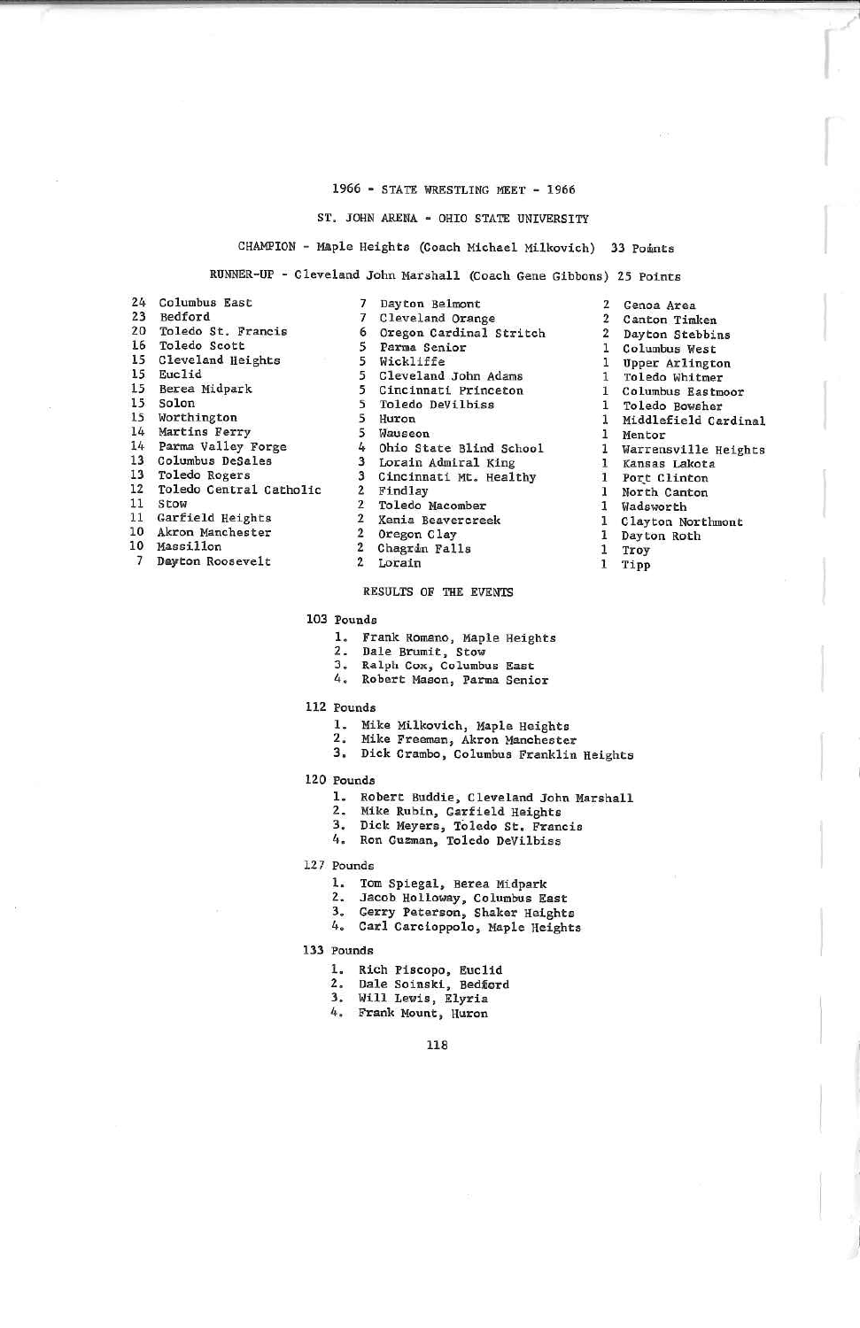# 1966 - STATE WRESTLING MEET - 1966

#### ST. JOHK ARENA - OHIO STATE UNIVERSIT?

CHAMPION - Maple Heights (Coach Michael Milkovich) 33 Points

RUNNER-UP - Cleveland John Marshall (Coach Gene Gibbons) 25 Points

2 Genoa Area 2 CanEon Timken 2 Dayton Stebbins1 Columbus West 1 Upper Arlingtonl Toledo Whitmer I Columbus Eaetmoorl Toledo Bowsher<br>1 Middlefield Cardinal 1 1 Mentor Warrensville Heights

 \ Clayton Horthmont:1Dayton Roth

Kansas Lakota<br>Port Clinton<br>North Canton<br>Wadsworth

 11 Tipp

Troy

| 24 | Columbus East           |
|----|-------------------------|
| 23 | Bedford                 |
| 20 | Toledo St. Francis      |
| 16 | Toledo Scott            |
| 15 | Cleveland Heights       |
| 15 | Euclid                  |
| 15 | Berea Midpark           |
| 15 | Solon                   |
|    | 15 Worthington          |
|    | 14 Martins Ferry        |
| 14 | Parma Valley Forge      |
| 13 | Columbus DeSales        |
| 13 | Toledo Rogers           |
| 12 | Toledo Central Catholic |
| 11 | Stow                    |
| 11 | Garfield Heights        |
| 10 | Akron Manchester        |
| 10 | Massillon               |
|    |                         |

7 Dayton Roosevelt

/ Dayton Belmont 7 6 5 5 5 Cleveland John Adams 5 5 5 5 4 Ohio State Blind School 3 3 Cincinnati Mt. Healthy2 Findlay 2 22 Oregon Clay 2 Chagrin Falls 2Lorain Cleveland Orange Oregon Cardinal StritchParma Senior Wickliffe Cincinnati PrincetonToledo DeVilbissHuron WauseonLorain Admiral King Toledo MacomberXenia Beavercreek

## RESULTS OF THE EVEHIS

- 103 Pounds
	- .. Frank Romano, Maple Heights
	- 2. Dale Brumit, Stow
	-
	- 3. Ralph Cox, Columbus East4. Robert Mason, Parma Senior
	-
- 112 pounds
	-
	-
	- 1. Mike Milkovich, Maple Heights 2. Mike Freeman. Akron Manchester 3, Dick Crambo, Columbus Franklin Heights
- 120 Pounds
	- . Robert Buddie, Cleveland John Marshall
	- 2. Mike Rubln, Garfield Heights
	-
	- 3, Dick Heyers, Toledo St. Francis 4. Ron Guzman. Toledo DeVilbias
- 127 Pounds
	- . Tom Spiegal, Berea Midpark
	-
	-
	- 2. Jacob Holloiway, Columbus East 3. Gerry Peterson, Shaker Heights 4. Carl Carcioppolo, Maple Heights
- 133 Founds
	- . Rich Piscopo, Euclid
	-
	- :. Dale Soinski, Bedmord<br>}. Will Lewis, Elyria
	- 4. Frank Mount. Huron

118